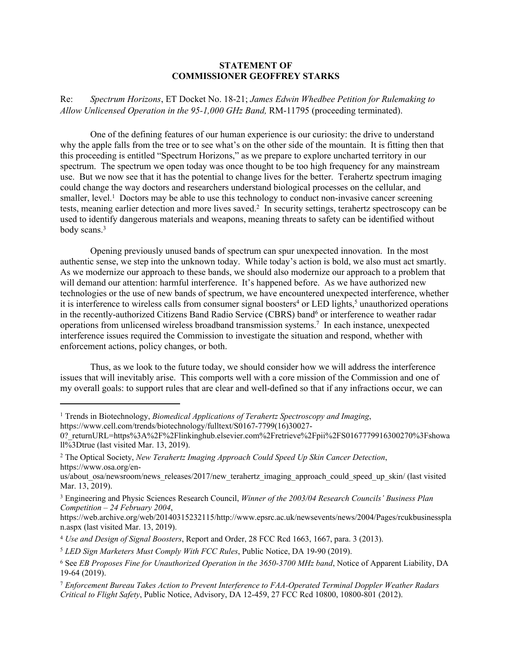## **STATEMENT OF COMMISSIONER GEOFFREY STARKS**

Re: *Spectrum Horizons*, ET Docket No. 18-21; *James Edwin Whedbee Petition for Rulemaking to Allow Unlicensed Operation in the 95-1,000 GHz Band,* RM-11795 (proceeding terminated).

One of the defining features of our human experience is our curiosity: the drive to understand why the apple falls from the tree or to see what's on the other side of the mountain. It is fitting then that this proceeding is entitled "Spectrum Horizons," as we prepare to explore uncharted territory in our spectrum. The spectrum we open today was once thought to be too high frequency for any mainstream use. But we now see that it has the potential to change lives for the better. Terahertz spectrum imaging could change the way doctors and researchers understand biological processes on the cellular, and smaller, level.<sup>1</sup> Doctors may be able to use this technology to conduct non-invasive cancer screening tests, meaning earlier detection and more lives saved.<sup>2</sup> In security settings, terahertz spectroscopy can be used to identify dangerous materials and weapons, meaning threats to safety can be identified without body scans.<sup>3</sup>

Opening previously unused bands of spectrum can spur unexpected innovation. In the most authentic sense, we step into the unknown today. While today's action is bold, we also must act smartly. As we modernize our approach to these bands, we should also modernize our approach to a problem that will demand our attention: harmful interference. It's happened before. As we have authorized new technologies or the use of new bands of spectrum, we have encountered unexpected interference, whether it is interference to wireless calls from consumer signal boosters<sup>4</sup> or LED lights,<sup>5</sup> unauthorized operations in the recently-authorized Citizens Band Radio Service (CBRS) band<sup>6</sup> or interference to weather radar operations from unlicensed wireless broadband transmission systems.<sup>7</sup> In each instance, unexpected interference issues required the Commission to investigate the situation and respond, whether with enforcement actions, policy changes, or both.

Thus, as we look to the future today, we should consider how we will address the interference issues that will inevitably arise. This comports well with a core mission of the Commission and one of my overall goals: to support rules that are clear and well-defined so that if any infractions occur, we can

<sup>&</sup>lt;sup>1</sup> Trends in Biotechnology, *Biomedical Applications of Terahertz Spectroscopy and Imaging*, https://www.cell.com/trends/biotechnology/fulltext/S0167-7799(16)30027-

<sup>0?</sup> returnURL=https%3A%2F%2Flinkinghub.elsevier.com%2Fretrieve%2Fpii%2FS0167779916300270%3Fshowa ll%3Dtrue (last visited Mar. 13, 2019).

<sup>2</sup> The Optical Society, *New Terahertz Imaging Approach Could Speed Up Skin Cancer Detection*, https://www.osa.org/en-

us/about osa/newsroom/news releases/2017/new terahertz imaging approach could speed up skin/ (last visited Mar. 13, 2019).

<sup>3</sup> Engineering and Physic Sciences Research Council, *Winner of the 2003/04 Research Councils' Business Plan Competition – 24 February 2004*,

https://web.archive.org/web/20140315232115/http://www.epsrc.ac.uk/newsevents/news/2004/Pages/rcukbusinesspla n.aspx (last visited Mar. 13, 2019).

<sup>4</sup> *Use and Design of Signal Boosters*, Report and Order, 28 FCC Rcd 1663, 1667, para. 3 (2013).

<sup>5</sup> *LED Sign Marketers Must Comply With FCC Rules*, Public Notice, DA 19-90 (2019).

<sup>6</sup> See *EB Proposes Fine for Unauthorized Operation in the 3650-3700 MHz band*, Notice of Apparent Liability, DA 19-64 (2019).

<sup>7</sup> *Enforcement Bureau Takes Action to Prevent Interference to FAA-Operated Terminal Doppler Weather Radars Critical to Flight Safety*, Public Notice, Advisory, DA 12-459, 27 FCC Rcd 10800, 10800-801 (2012).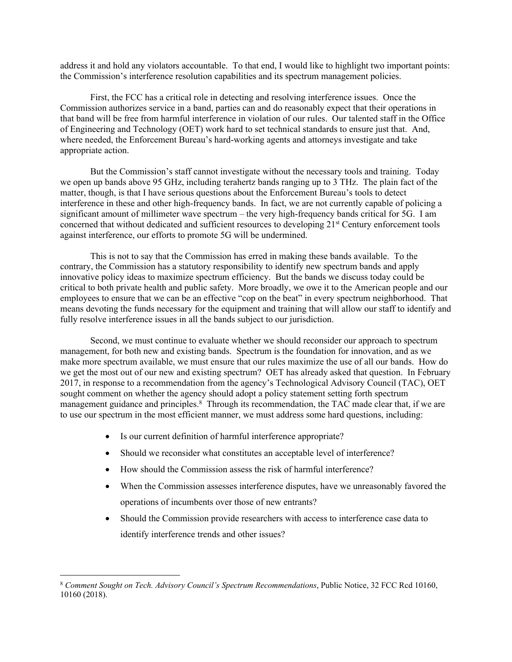address it and hold any violators accountable. To that end, I would like to highlight two important points: the Commission's interference resolution capabilities and its spectrum management policies.

First, the FCC has a critical role in detecting and resolving interference issues. Once the Commission authorizes service in a band, parties can and do reasonably expect that their operations in that band will be free from harmful interference in violation of our rules. Our talented staff in the Office of Engineering and Technology (OET) work hard to set technical standards to ensure just that. And, where needed, the Enforcement Bureau's hard-working agents and attorneys investigate and take appropriate action.

But the Commission's staff cannot investigate without the necessary tools and training. Today we open up bands above 95 GHz, including terahertz bands ranging up to 3 THz. The plain fact of the matter, though, is that I have serious questions about the Enforcement Bureau's tools to detect interference in these and other high-frequency bands. In fact, we are not currently capable of policing a significant amount of millimeter wave spectrum – the very high-frequency bands critical for 5G. I am concerned that without dedicated and sufficient resources to developing 21st Century enforcement tools against interference, our efforts to promote 5G will be undermined.

This is not to say that the Commission has erred in making these bands available. To the contrary, the Commission has a statutory responsibility to identify new spectrum bands and apply innovative policy ideas to maximize spectrum efficiency. But the bands we discuss today could be critical to both private health and public safety. More broadly, we owe it to the American people and our employees to ensure that we can be an effective "cop on the beat" in every spectrum neighborhood. That means devoting the funds necessary for the equipment and training that will allow our staff to identify and fully resolve interference issues in all the bands subject to our jurisdiction.

Second, we must continue to evaluate whether we should reconsider our approach to spectrum management, for both new and existing bands. Spectrum is the foundation for innovation, and as we make more spectrum available, we must ensure that our rules maximize the use of all our bands. How do we get the most out of our new and existing spectrum? OET has already asked that question. In February 2017, in response to a recommendation from the agency's Technological Advisory Council (TAC), OET sought comment on whether the agency should adopt a policy statement setting forth spectrum management guidance and principles.<sup>8</sup> Through its recommendation, the TAC made clear that, if we are to use our spectrum in the most efficient manner, we must address some hard questions, including:

- Is our current definition of harmful interference appropriate?
- Should we reconsider what constitutes an acceptable level of interference?
- How should the Commission assess the risk of harmful interference?
- When the Commission assesses interference disputes, have we unreasonably favored the operations of incumbents over those of new entrants?
- Should the Commission provide researchers with access to interference case data to identify interference trends and other issues?

<sup>8</sup> *Comment Sought on Tech. Advisory Council's Spectrum Recommendations*, Public Notice, 32 FCC Rcd 10160, 10160 (2018).